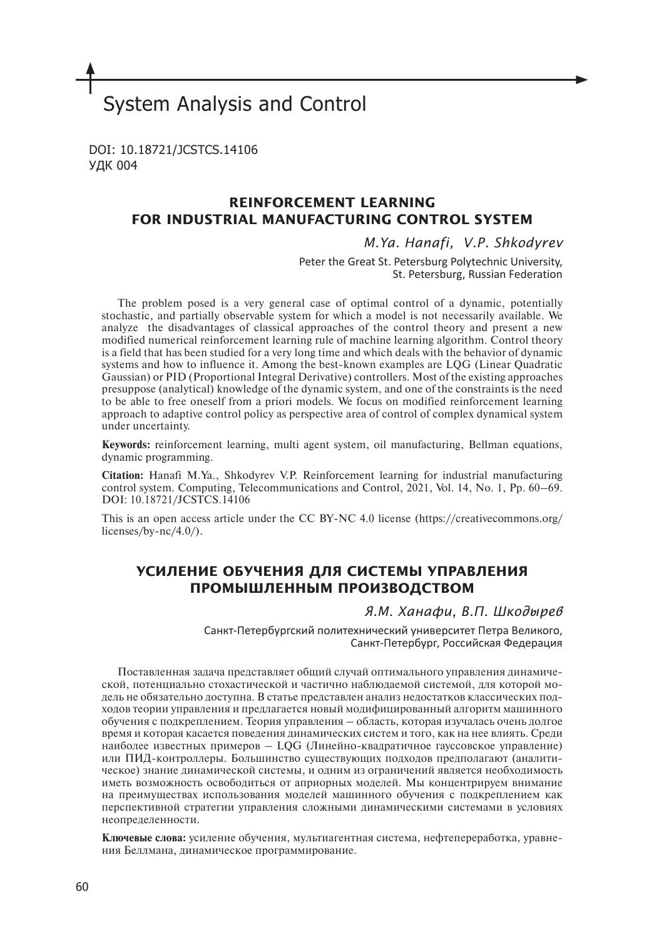# System Analysis and Control

DOI: 10.18721/JCSTCS.14106 УДК 004

# **REINFORCEMENT LEARNING FOR INDUSTRIAL MANUFACTURING CONTROL SYSTEM**

## *M.Ya. Hanafi, V.P. Shkodyrev*

Peter the Great St. Petersburg Polytechnic University, St. Petersburg, Russian Federation

The problem posed is a very general case of optimal control of a dynamic, potentially stochastic, and partially observable system for which a model is not necessarily available. We analyze the disadvantages of classical approaches of the control theory and present a new modified numerical reinforcement learning rule of machine learning algorithm. Control theory is a field that has been studied for a very long time and which deals with the behavior of dynamic systems and how to influence it. Among the best-known examples are LQG (Linear Quadratic Gaussian) or PID (Proportional Integral Derivative) controllers. Most of the existing approaches presuppose (analytical) knowledge of the dynamic system, and one of the constraints is the need to be able to free oneself from a priori models. We focus on modified reinforcement learning approach to adaptive control policy as perspective area of control of complex dynamical system under uncertainty.

**Keywords:** reinforcement learning, multi agent system, oil manufacturing, Bellman equations, dynamic programming.

**Citation:** Hanafi M.Ya., Shkodyrev V.P. Reinforcement learning for industrial manufacturing control system. Computing, Telecommunications and Control, 2021, Vol. 14, No. 1, Pp. 60–69. DOI: 10.18721/JCSTCS.14106

This is an open access article under the CC BY-NC 4.0 license (https://creativecommons.org/ licenses/by-nc/4.0/).

# **УСИЛЕНИЕ ОБУЧЕНИЯ ДЛЯ СИСТЕМЫ УПРАВЛЕНИЯ ПРОМЫШЛЕННЫМ ПРОИЗВОДСТВОМ**

## *Я.М. Ханафи, В.П. Шкодырев*

Санкт-Петербургский политехнический университет Петра Великого, Санкт-Петербург, Российская Федерация

Поставленная задача представляет общий случай оптимального управления динамической, потенциально стохастической и частично наблюдаемой системой, для которой модель не обязательно доступна. В статье представлен анализ недостатков классических подходов теории управления и предлагается новый модифицированный алгоритм машинного обучения с подкреплением. Теория управления – область, которая изучалась очень долгое время и которая касается поведения динамических систем и того, как на нее влиять. Среди наиболее известных примеров – LQG (Линейно-квадратичное гауссовское управление) или ПИД-контроллеры. Большинство существующих подходов предполагают (аналитическое) знание динамической системы, и одним из ограничений является необходимость иметь возможность освободиться от априорных моделей. Мы концентрируем внимание на преимуществах использования моделей машинного обучения с подкреплением как перспективной стратегии управления сложными динамическими системами в условиях неопределенности.

**Ключевые слова:** усиление обучения, мультиагентная система, нефтепереработка, уравнения Беллмана, динамическое программирование.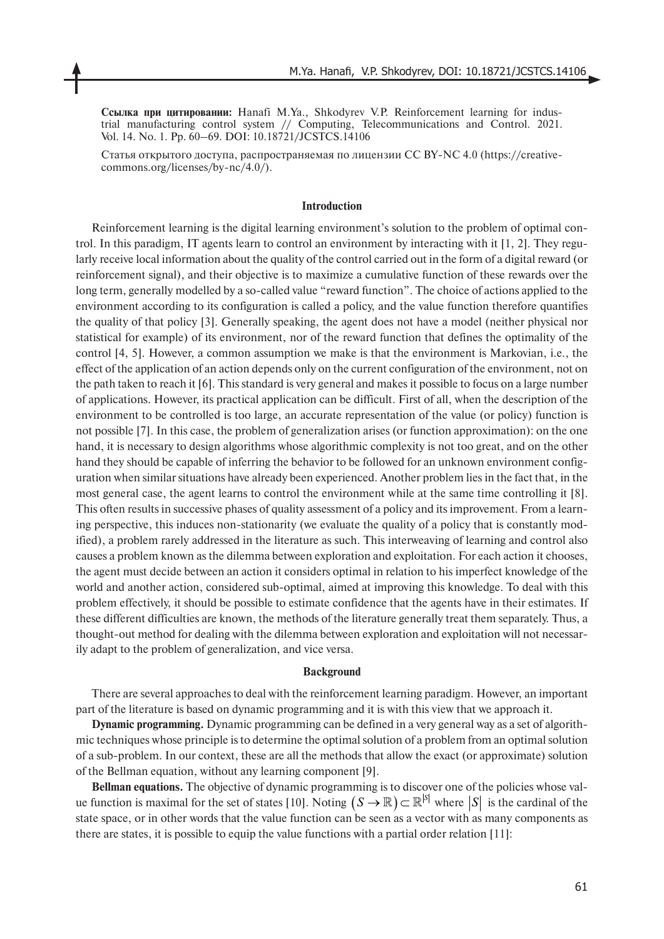**Ссылка при цитировании:** Hanafi M.Ya., Shkodyrev V.P. Reinforcement learning for industrial manufacturing control system // Computing, Telecommunications and Control. 2021. Vol. 14. No. 1. Pp. 60–69. DOI: 10.18721/JCSTCS.14106

Cтатья открытого доступа, распространяемая по лицензии CC BY-NC 4.0 (https://creativecommons.org/licenses/by-nc/4.0/).

#### **Introduction**

Reinforcement learning is the digital learning environment's solution to the problem of optimal control. In this paradigm, IT agents learn to control an environment by interacting with it [1, 2]. They regularly receive local information about the quality of the control carried out in the form of a digital reward (or reinforcement signal), and their objective is to maximize a cumulative function of these rewards over the long term, generally modelled by a so-called value "reward function". The choice of actions applied to the environment according to its configuration is called a policy, and the value function therefore quantifies the quality of that policy [3]. Generally speaking, the agent does not have a model (neither physical nor statistical for example) of its environment, nor of the reward function that defines the optimality of the control [4, 5]. However, a common assumption we make is that the environment is Markovian, i.e., the effect of the application of an action depends only on the current configuration of the environment, not on the path taken to reach it [6]. This standard is very general and makes it possible to focus on a large number of applications. However, its practical application can be difficult. First of all, when the description of the environment to be controlled is too large, an accurate representation of the value (or policy) function is not possible [7]. In this case, the problem of generalization arises (or function approximation): on the one hand, it is necessary to design algorithms whose algorithmic complexity is not too great, and on the other hand they should be capable of inferring the behavior to be followed for an unknown environment configuration when similar situations have already been experienced. Another problem lies in the fact that, in the most general case, the agent learns to control the environment while at the same time controlling it [8]. This often results in successive phases of quality assessment of a policy and its improvement. From a learning perspective, this induces non-stationarity (we evaluate the quality of a policy that is constantly modified), a problem rarely addressed in the literature as such. This interweaving of learning and control also causes a problem known as the dilemma between exploration and exploitation. For each action it chooses, the agent must decide between an action it considers optimal in relation to his imperfect knowledge of the world and another action, considered sub-optimal, aimed at improving this knowledge. To deal with this problem effectively, it should be possible to estimate confidence that the agents have in their estimates. If these different difficulties are known, the methods of the literature generally treat them separately. Thus, a thought-out method for dealing with the dilemma between exploration and exploitation will not necessarily adapt to the problem of generalization, and vice versa.

#### **Background**

There are several approaches to deal with the reinforcement learning paradigm. However, an important part of the literature is based on dynamic programming and it is with this view that we approach it.

**Dynamic programming.** Dynamic programming can be defined in a very general way as a set of algorithmic techniques whose principle is to determine the optimal solution of a problem from an optimal solution of a sub-problem. In our context, these are all the methods that allow the exact (or approximate) solution of the Bellman equation, without any learning component [9].

**Bellman equations.** The objective of dynamic programming is to discover one of the policies whose value function is maximal for the set of states [10]. Noting  $(S \to \mathbb{R}) \subset \mathbb{R}^{|S|}$  where  $|S|$  is the cardinal of the state space, or in other words that the value function can be seen as a vector with as many components as there are states, it is possible to equip the value functions with a partial order relation [11]: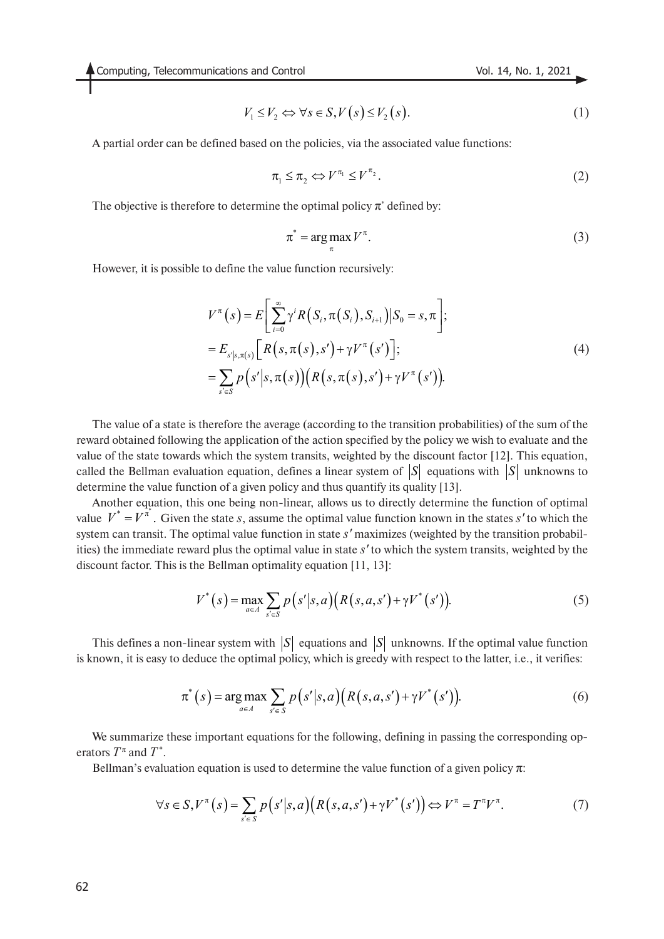$$
V_1 \le V_2 \Leftrightarrow \forall s \in S, V(s) \le V_2(s). \tag{1}
$$

A partial order can be defined based on the policies, via the associated value functions:

$$
\pi_1 \leq \pi_2 \Leftrightarrow V^{\pi_1} \leq V^{\pi_2}.
$$
 (2)

The objective is therefore to determine the optimal policy  $\pi^*$  defined by:

$$
\pi^* = \arg\max_{\pi} V^{\pi}.
$$
 (3)

However, it is possible to define the value function recursively:

$$
V^{\pi}(s) = E\left[\sum_{i=0}^{\infty} \gamma^{i} R(S_{i}, \pi(S_{i}), S_{i+1}) | S_{0} = s, \pi\right];
$$
  
\n
$$
= E_{s'|s, \pi(s)}\left[R(s, \pi(s), s') + \gamma V^{\pi}(s')\right];
$$
  
\n
$$
= \sum_{s' \in S} p(s'|s, \pi(s)) \left(R(s, \pi(s), s') + \gamma V^{\pi}(s')\right).
$$
\n(4)

The value of a state is therefore the average (according to the transition probabilities) of the sum of the reward obtained following the application of the action specified by the policy we wish to evaluate and the value of the state towards which the system transits, weighted by the discount factor [12]. This equation, called the Bellman evaluation equation, defines a linear system of  $|S|$  equations with  $|S|$  unknowns to determine the value function of a given policy and thus quantify its quality [13].

Another equation, this one being non-linear, allows us to directly determine the function of optimal value  $V^* = V^*$ . Given the state *s*, assume the optimal value function known in the states *s'* to which the system can transit. The optimal value function in state *s'* maximizes (weighted by the transition probabilities) the immediate reward plus the optimal value in state *s'* to which the system transits, weighted by the discount factor. This is the Bellman optimality equation [11, 13]:

$$
V^*(s) = \max_{a \in A} \sum_{s' \in S} p(s'|s, a) \Big( R(s, a, s') + \gamma V^*(s') \Big). \tag{5}
$$

This defines a non-linear system with  $|S|$  equations and  $|S|$  unknowns. If the optimal value function is known, it is easy to deduce the optimal policy, which is greedy with respect to the latter, i.e., it verifies:

$$
\pi^*(s) = \underset{a \in A}{\arg \max} \sum_{s' \in S} p(s'|s, a) \Big( R(s, a, s') + \gamma V^*(s') \Big). \tag{6}
$$

We summarize these important equations for the following, defining in passing the corresponding operators  $T^*$  and  $T^*$ .

Bellman's evaluation equation is used to determine the value function of a given policy  $\pi$ :

$$
\forall s \in S, V^{\pi}(s) = \sum_{s' \in S} p(s'|s, a) \Big( R(s, a, s') + \gamma V^*(s') \Big) \Leftrightarrow V^{\pi} = T^{\pi} V^{\pi}.
$$
 (7)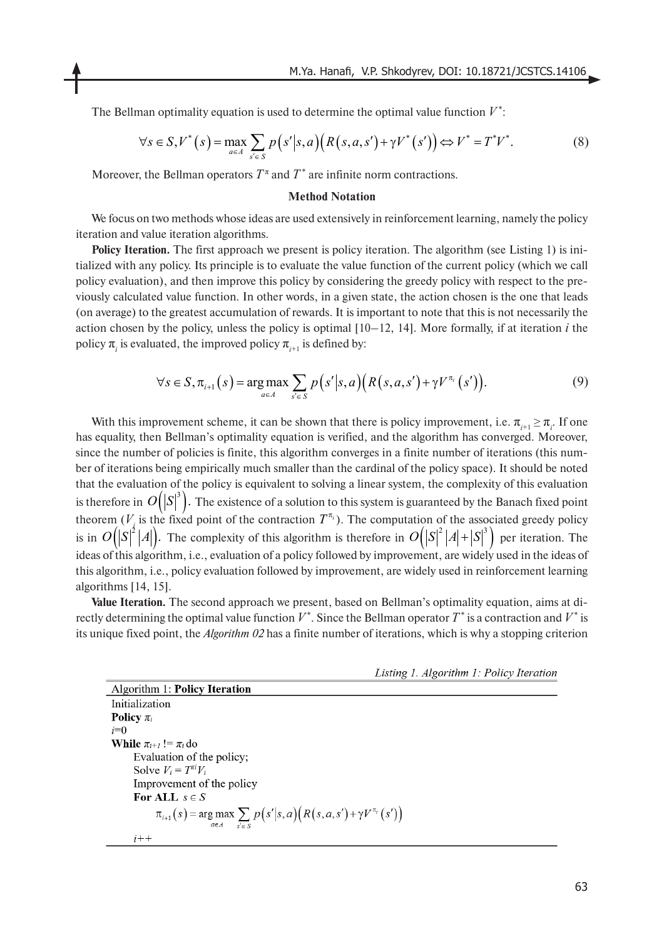The Bellman optimality equation is used to determine the optimal value function *V* \*:

$$
\forall s \in S, V^*(s) = \max_{a \in A} \sum_{s' \in S} p(s'|s,a) \Big( R(s,a,s') + \gamma V^*(s') \Big) \Leftrightarrow V^* = T^*V^*.
$$
 (8)

Moreover, the Bellman operators  $T^{\pi}$  and  $T^*$  are infinite norm contractions.

#### **Method Notation**

We focus on two methods whose ideas are used extensively in reinforcement learning, namely the policy iteration and value iteration algorithms.

**Policy Iteration.** The first approach we present is policy iteration. The algorithm (see Listing 1) is initialized with any policy. Its principle is to evaluate the value function of the current policy (which we call policy evaluation), and then improve this policy by considering the greedy policy with respect to the previously calculated value function. In other words, in a given state, the action chosen is the one that leads (on average) to the greatest accumulation of rewards. It is important to note that this is not necessarily the action chosen by the policy, unless the policy is optimal  $[10-12, 14]$ . More formally, if at iteration *i* the policy  $\pi$ <sub>*i*</sub> is evaluated, the improved policy  $\pi$ <sub>*i*+1</sub> is defined by:

$$
\forall s \in S, \pi_{i+1}(s) = \underset{a \in A}{\arg \max} \sum_{s' \in S} p(s'|s,a) \Big( R(s,a,s') + \gamma V^{\pi_i}(s') \Big). \tag{9}
$$

With this improvement scheme, it can be shown that there is policy improvement, i.e.  $\pi_{i+1} \geq \pi_i$ . If one has equality, then Bellman's optimality equation is verified, and the algorithm has converged. Moreover, since the number of policies is finite, this algorithm converges in a finite number of iterations (this number of iterations being empirically much smaller than the cardinal of the policy space). It should be noted that the evaluation of the policy is equivalent to solving a linear system, the complexity of this evaluation is therefore in  $O\big(|S|^3\big).$  The existence of a solution to this system is guaranteed by the Banach fixed point theorem  $(V_i)$  is the fixed point of the contraction  $T^{\pi_i}$ ). The computation of the associated greedy policy is in  $O(|S|^2|A|)$ . The complexity of this algorithm is therefore in  $O(|S|^2|A|+|S|^2)$  per iteration. The ideas of this algorithm, i.e., evaluation of a policy followed by improvement, are widely used in the ideas of this algorithm, i.e., policy evaluation followed by improvement, are widely used in reinforcement learning algorithms [14, 15].  $T^{\pi_i}$  $O(|S|^2|A|)$ . The complexity of this algorithm is therefore in  $O(|S|^2|A|+|S|^3)$ 

**Value Iteration.** The second approach we present, based on Bellman's optimality equation, aims at directly determining the optimal value function  $V^*$ . Since the Bellman operator  $T^*$  is a contraction and  $V^*$  is its unique fixed point, the *Algorithm 02* has a finite number of iterations, which is why a stopping criterion

Listing 1. Algorithm 1: Policy Iteration

**Algorithm 1: Policy Iteration** Initialization Policy  $\pi_i$  $i=0$ **While**  $\pi_{i+1} := \pi_i$  do Evaluation of the policy; Solve  $V_i = T^{\pi i} V_i$ Improvement of the policy For ALL  $s \in S$  $\pi_{i+1}(s) = \arg\max_{a \in A} \sum_{s' \in S} p(s'|s,a) (R(s,a,s') + \gamma V^{\pi_i}(s'))$  $i++$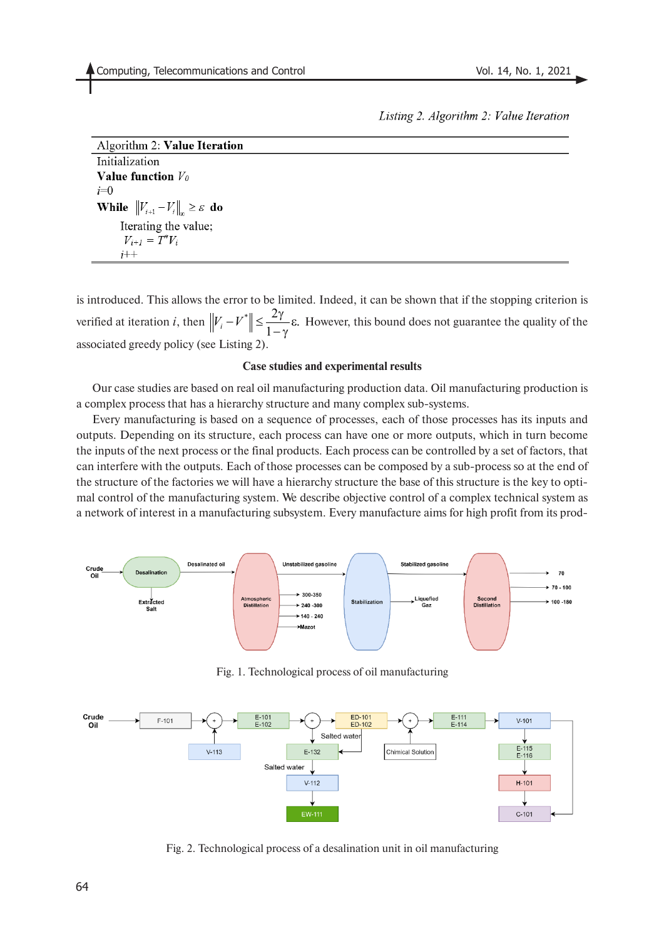Listing 2. Algorithm 2: Value Iteration

| Algorithm 2: Value Iteration                                  |
|---------------------------------------------------------------|
| Initialization                                                |
| Value function $V_0$                                          |
| $i=0$                                                         |
| <b>While</b> $  V_{i+1} - V_i  _{\infty} \geq \varepsilon$ do |
| Iterating the value;                                          |
| $V_{i+1} = T^* V_i$                                           |
| $i++$                                                         |

is introduced. This allows the error to be limited. Indeed, it can be shown that if the stopping criterion is verified at iteration *i*, then  $||V_i - V^*|| \le \frac{2\gamma}{1-\gamma} \epsilon$ . However, this bound does not guarantee the quality of the associated greedy policy (see Listing 2).  $-\gamma$ 

#### **Case studies and experimental results**

Our case studies are based on real oil manufacturing production data. Oil manufacturing production is a complex process that has a hierarchy structure and many complex sub-systems.

Every manufacturing is based on a sequence of processes, each of those processes has its inputs and outputs. Depending on its structure, each process can have one or more outputs, which in turn become the inputs of the next process or the final products. Each process can be controlled by a set of factors, that can interfere with the outputs. Each of those processes can be composed by a sub-process so at the end of the structure of the factories we will have a hierarchy structure the base of this structure is the key to optimal control of the manufacturing system. We describe objective control of a complex technical system as a network of interest in a manufacturing subsystem. Every manufacture aims for high profit from its prod-



Fig. 1. Technological process of oil manufacturing



Fig. 2. Technological process of a desalination unit in oil manufacturing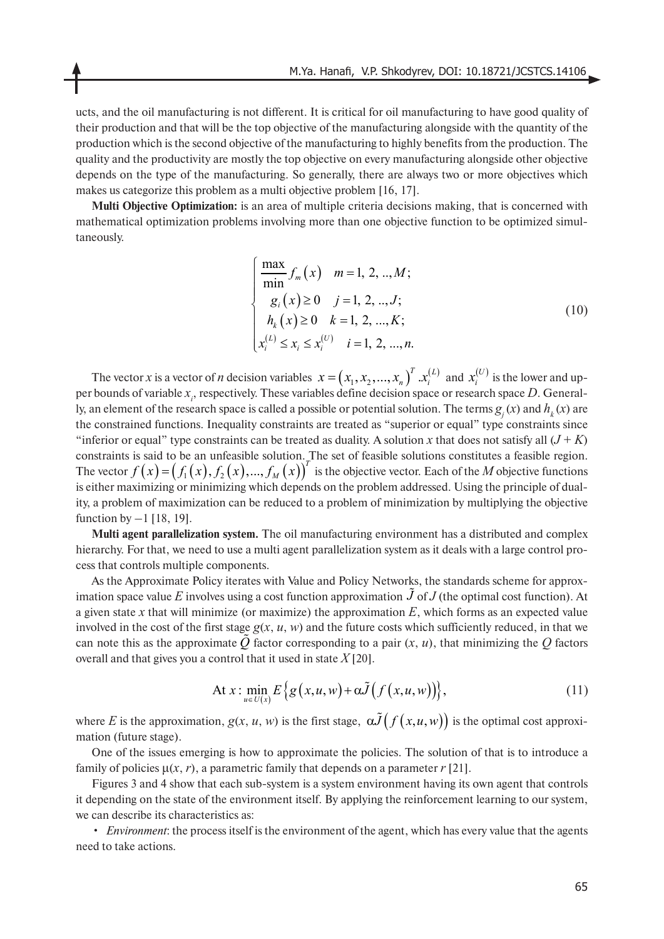ucts, and the oil manufacturing is not different. It is critical for oil manufacturing to have good quality of their production and that will be the top objective of the manufacturing alongside with the quantity of the production which is the second objective of the manufacturing to highly benefits from the production. The quality and the productivity are mostly the top objective on every manufacturing alongside other objective depends on the type of the manufacturing. So generally, there are always two or more objectives which makes us categorize this problem as a multi objective problem [16, 17].

**Multi Objective Optimization:** is an area of multiple criteria decisions making, that is concerned with mathematical optimization problems involving more than one objective function to be optimized simultaneously.

$$
\begin{cases}\n\frac{\max}{\min} f_m(x) & m = 1, 2, ..., M; \\
g_i(x) \ge 0 & j = 1, 2, ..., J; \\
h_k(x) \ge 0 & k = 1, 2, ..., K; \\
x_i^{(L)} \le x_i \le x_i^{(U)} & i = 1, 2, ..., n.\n\end{cases}
$$
\n(10)

The vector *x* is a vector of *n* decision variables  $x = (x_1, x_2, ..., x_n)^T$  .  $x_i^{(L)}$  and  $x_i^{(U)}$  is the lower and upper bounds of variable  $x_i$ , respectively. These variables define decision space or research space D. Generally, an element of the research space is called a possible or potential solution. The terms  $g(x)$  and  $h(x)$  are the constrained functions. Inequality constraints are treated as "superior or equal" type constraints since "inferior or equal" type constraints can be treated as duality. A solution x that does not satisfy all  $(J + K)$ constraints is said to be an unfeasible solution. The set of feasible solutions constitutes a feasible region. The vector  $f(x) = (f_1(x), f_2(x), ..., f_M(x))^T$  is the objective vector. Each of the *M* objective functions is either maximizing or minimizing which depends on the problem addressed. Using the principle of duality, a problem of maximization can be reduced to a problem of minimization by multiplying the objective function by  $-1$  [18, 19].

**Multi agent parallelization system.** The oil manufacturing environment has a distributed and complex hierarchy. For that, we need to use a multi agent parallelization system as it deals with a large control process that controls multiple components.

As the Approximate Policy iterates with Value and Policy Networks, the standards scheme for approximation space value E involves using a cost function approximation  $\tilde{J}$  of  $J$  (the optimal cost function). At a given state *x* that will minimize (or maximize) the approximation *E*, which forms as an expected value involved in the cost of the first stage  $g(x, u, w)$  and the future costs which sufficiently reduced, in that we can note this as the approximate  $\tilde{Q}$  factor corresponding to a pair  $(x, u)$ , that minimizing the  $Q$  factors overall and that gives you a control that it used in state *X* [20].

At 
$$
x: \min_{u \in U(x)} E\{g(x, u, w) + \alpha \tilde{J}(f(x, u, w))\}
$$
, (11)

where *E* is the approximation,  $g(x, u, w)$  is the first stage,  $\alpha \tilde{J}(f(x, u, w))$  is the optimal cost approximation (future stage).

One of the issues emerging is how to approximate the policies. The solution of that is to introduce a family of policies  $\mu(x, r)$ , a parametric family that depends on a parameter  $r$  [21].

Figures 3 and 4 show that each sub-system is a system environment having its own agent that controls it depending on the state of the environment itself. By applying the reinforcement learning to our system, we can describe its characteristics as:

• *Environment*: the process itself is the environment of the agent, which has every value that the agents need to take actions.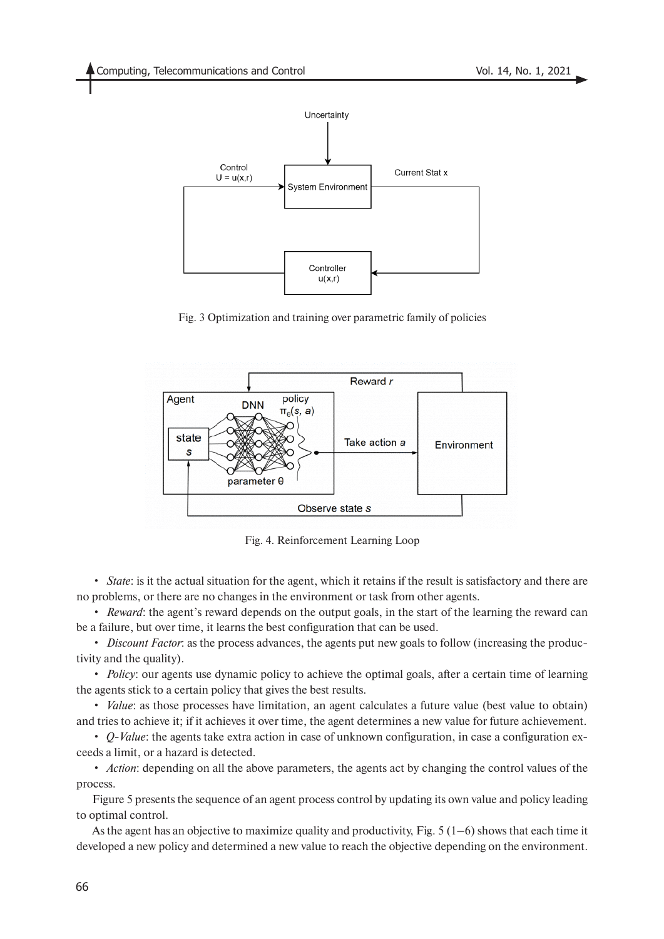

Fig. 3 Optimization and training over parametric family of policies



Fig. 4. Reinforcement Learning Loop

• *State*: is it the actual situation for the agent, which it retains if the result is satisfactory and there are no problems, or there are no changes in the environment or task from other agents.

• *Reward*: the agent's reward depends on the output goals, in the start of the learning the reward can be a failure, but over time, it learns the best configuration that can be used.

• *Discount Factor*: as the process advances, the agents put new goals to follow (increasing the productivity and the quality).

• *Policy*: our agents use dynamic policy to achieve the optimal goals, after a certain time of learning the agents stick to a certain policy that gives the best results.

• *Value*: as those processes have limitation, an agent calculates a future value (best value to obtain) and tries to achieve it; if it achieves it over time, the agent determines a new value for future achievement.

• *Q-Value*: the agents take extra action in case of unknown configuration, in case a configuration exceeds a limit, or a hazard is detected.

• *Action*: depending on all the above parameters, the agents act by changing the control values of the process.

Figure 5 presents the sequence of an agent process control by updating its own value and policy leading to optimal control.

As the agent has an objective to maximize quality and productivity, Fig.  $5(1-6)$  shows that each time it developed a new policy and determined a new value to reach the objective depending on the environment.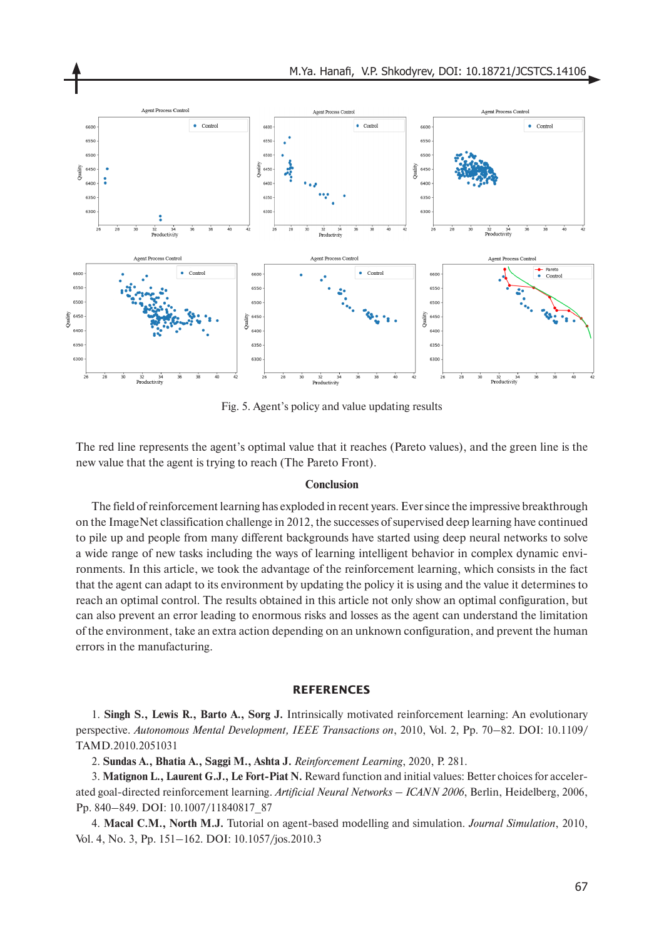

Fig. 5. Agent's policy and value updating results

The red line represents the agent's optimal value that it reaches (Pareto values), and the green line is the new value that the agent is trying to reach (The Pareto Front).

#### **Conclusion**

The field of reinforcement learning has exploded in recent years. Ever since the impressive breakthrough on the ImageNet classification challenge in 2012, the successes of supervised deep learning have continued to pile up and people from many different backgrounds have started using deep neural networks to solve a wide range of new tasks including the ways of learning intelligent behavior in complex dynamic environments. In this article, we took the advantage of the reinforcement learning, which consists in the fact that the agent can adapt to its environment by updating the policy it is using and the value it determines to reach an optimal control. The results obtained in this article not only show an optimal configuration, but can also prevent an error leading to enormous risks and losses as the agent can understand the limitation of the environment, take an extra action depending on an unknown configuration, and prevent the human errors in the manufacturing.

## **REFERENCES**

1. **Singh S., Lewis R., Barto A., Sorg J.** Intrinsically motivated reinforcement learning: An evolutionary perspective. *Autonomous Mental Development, IEEE Transactions on*, 2010, Vol. 2, Pp. 70–82. DOI: 10.1109/ TAMD.2010.2051031

2. **Sundas A., Bhatia A., Saggi M., Ashta J.** *Reinforcement Learning*, 2020, P. 281.

3. **Matignon L., Laurent G.J., Le Fort-Piat N.** Reward function and initial values: Better choices for accelerated goal-directed reinforcement learning. *Artificial Neural Networks – ICANN 2006*, Berlin, Heidelberg, 2006, Pp. 840–849. DOI: 10.1007/11840817\_87

4. **Macal C.M., North M.J.** Tutorial on agent-based modelling and simulation. *Journal Simulation*, 2010, Vol. 4, No. 3, Pp. 151–162. DOI: 10.1057/jos.2010.3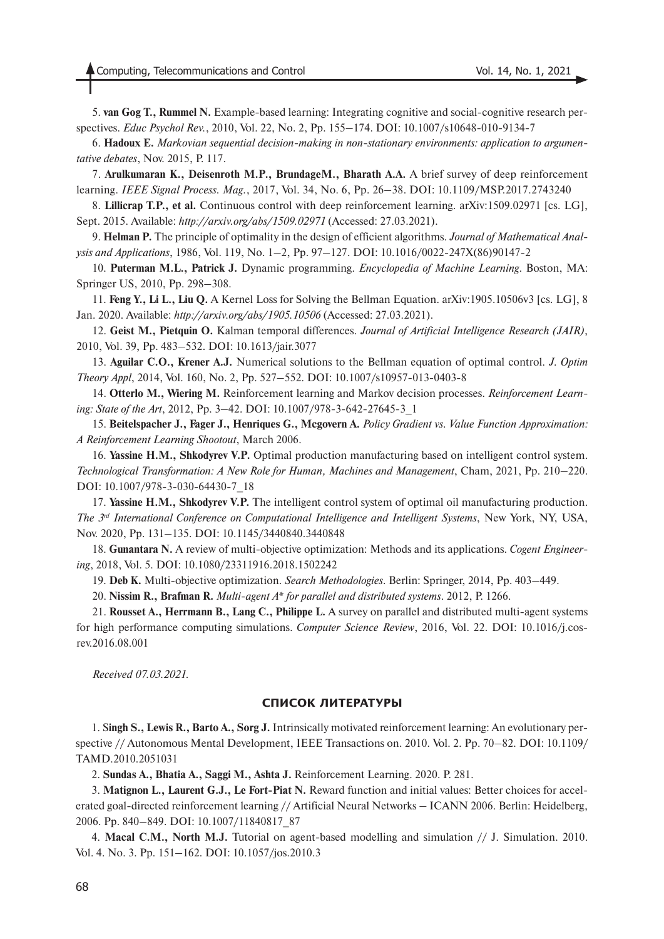5. **van Gog T., Rummel N.** Example-based learning: Integrating cognitive and social-cognitive research perspectives. *Educ Psychol Rev.*, 2010, Vol. 22, No. 2, Pp. 155–174. DOI: 10.1007/s10648-010-9134-7

6. **Hadoux E.** *Markovian sequential decision-making in non-stationary environments: application to argumentative debates*, Nov. 2015, P. 117.

7. **Arulkumaran K., Deisenroth M.P., BrundageM., Bharath A.A.** A brief survey of deep reinforcement learning. *IEEE Signal Process. Mag.*, 2017, Vol. 34, No. 6, Pp. 26–38. DOI: 10.1109/MSP.2017.2743240

8. **Lillicrap T.P., et al.** Continuous control with deep reinforcement learning. arXiv:1509.02971 [cs. LG], Sept. 2015. Available: *http://arxiv.org/abs/1509.02971* (Accessed: 27.03.2021).

9. **Helman P.** The principle of optimality in the design of efficient algorithms. *Journal of Mathematical Analysis and Applications*, 1986, Vol. 119, No. 1–2, Pp. 97–127. DOI: 10.1016/0022-247X(86)90147-2

10. **Puterman M.L., Patrick J.** Dynamic programming. *Encyclopedia of Machine Learning*. Boston, MA: Springer US, 2010, Pp. 298–308.

11. **Feng Y., Li L., Liu Q.** A Kernel Loss for Solving the Bellman Equation. arXiv:1905.10506v3 [cs. LG], 8 Jan. 2020. Available: *http://arxiv.org/abs/1905.10506* (Accessed: 27.03.2021).

12. **Geist M., Pietquin O.** Kalman temporal differences. *Journal of Artificial Intelligence Research (JAIR)*, 2010, Vol. 39, Pp. 483–532. DOI: 10.1613/jair.3077

13. **Aguilar C.O., Krener A.J.** Numerical solutions to the Bellman equation of optimal control. *J. Optim Theory Appl*, 2014, Vol. 160, No. 2, Pp. 527–552. DOI: 10.1007/s10957-013-0403-8

14. **Otterlo M., Wiering M.** Reinforcement learning and Markov decision processes. *Reinforcement Learning: State of the Art*, 2012, Pp. 3–42. DOI: 10.1007/978-3-642-27645-3\_1

15. **Beitelspacher J., Fager J., Henriques G., Mcgovern A.** *Policy Gradient vs. Value Function Approximation: A Reinforcement Learning Shootout*, March 2006.

16. **Yassine H.M., Shkodyrev V.P.** Optimal production manufacturing based on intelligent control system. *Technological Transformation: A New Role for Human, Machines and Management*, Cham, 2021, Pp. 210–220. DOI: 10.1007/978-3-030-64430-7\_18

17. **Yassine H.M., Shkodyrev V.P.** The intelligent control system of optimal oil manufacturing production. *The 3rd International Conference on Computational Intelligence and Intelligent Systems*, New York, NY, USA, Nov. 2020, Pp. 131–135. DOI: 10.1145/3440840.3440848

18. **Gunantara N.** A review of multi-objective optimization: Methods and its applications. *Cogent Engineering*, 2018, Vol. 5. DOI: 10.1080/23311916.2018.1502242

19. **Deb K.** Multi-objective optimization. *Search Methodologies*. Berlin: Springer, 2014, Pp. 403–449.

20. **Nissim R., Brafman R.** *Multi-agent A\* for parallel and distributed systems*. 2012, P. 1266.

21. **Rousset A., Herrmann B., Lang C., Philippe L.** A survey on parallel and distributed multi-agent systems for high performance computing simulations. *Computer Science Review*, 2016, Vol. 22. DOI: 10.1016/j.cosrev.2016.08.001

*Received 07.03.2021.*

#### **СПИСОК ЛИТЕРАТУРЫ**

1. S**ingh S., Lewis R., Barto A., Sorg J.** Intrinsically motivated reinforcement learning: An evolutionary perspective // Autonomous Mental Development, IEEE Transactions on. 2010. Vol. 2. Pp. 70–82. DOI: 10.1109/ TAMD.2010.2051031

2. **Sundas A., Bhatia A., Saggi M., Ashta J.** Reinforcement Learning. 2020. P. 281.

3. **Matignon L., Laurent G.J., Le Fort-Piat N.** Reward function and initial values: Better choices for accelerated goal-directed reinforcement learning // Artificial Neural Networks – ICANN 2006. Berlin: Heidelberg, 2006. Pp. 840–849. DOI: 10.1007/11840817\_87

4. **Macal C.M., North M.J.** Tutorial on agent-based modelling and simulation // J. Simulation. 2010. Vol. 4. No. 3. Pp. 151–162. DOI: 10.1057/jos.2010.3